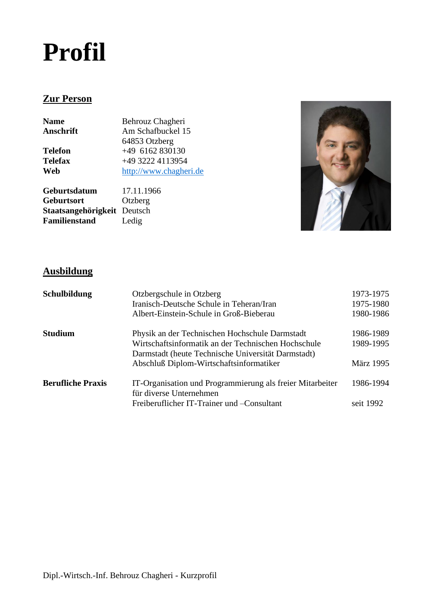# **Profil**

# **Zur Person**

**Name** Behrouz Chagheri<br> **Anschrift** Am Schafbuckel 1: Am Schafbuckel 15 64853 Otzberg **Telefon** +49 6162 830130<br> **Telefax** +49 3222 4113954 **Telefax** +49 3222 4113954<br> **Web** http://www.chagher **Web** [http://www.chagheri.de](http://www.chagheri.de/)

**Geburtsdatum** 17.11.1966 **Geburtsort** Otzberg **Staatsangehörigkeit** Deutsch **Familienstand** Ledig



# **Ausbildung**

| Schulbildung             | Otzbergschule in Otzberg<br>Iranisch-Deutsche Schule in Teheran/Iran<br>Albert-Einstein-Schule in Groß-Bieberau                                             | 1973-1975<br>1975-1980<br>1980-1986 |
|--------------------------|-------------------------------------------------------------------------------------------------------------------------------------------------------------|-------------------------------------|
| <b>Studium</b>           | Physik an der Technischen Hochschule Darmstadt<br>Wirtschaftsinformatik an der Technischen Hochschule<br>Darmstadt (heute Technische Universität Darmstadt) | 1986-1989<br>1989-1995              |
|                          | Abschluß Diplom-Wirtschaftsinformatiker                                                                                                                     | <b>März</b> 1995                    |
| <b>Berufliche Praxis</b> | IT-Organisation und Programmierung als freier Mitarbeiter<br>für diverse Unternehmen                                                                        | 1986-1994                           |
|                          | Freiberuflicher IT-Trainer und – Consultant                                                                                                                 | seit 1992                           |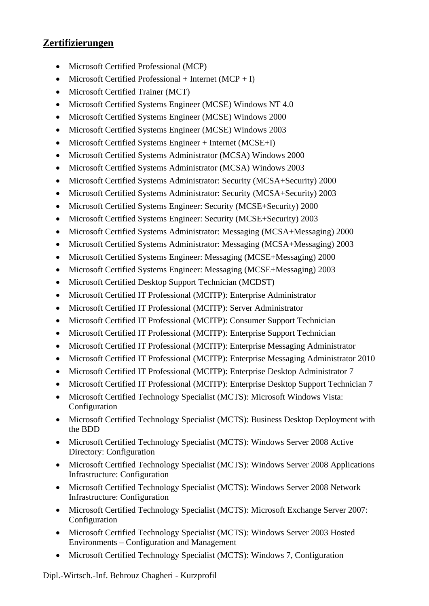# **Zertifizierungen**

- Microsoft Certified Professional (MCP)
- Microsoft Certified Professional + Internet  $(MCP + I)$
- Microsoft Certified Trainer (MCT)
- Microsoft Certified Systems Engineer (MCSE) Windows NT 4.0
- Microsoft Certified Systems Engineer (MCSE) Windows 2000
- Microsoft Certified Systems Engineer (MCSE) Windows 2003
- Microsoft Certified Systems Engineer + Internet (MCSE+I)
- Microsoft Certified Systems Administrator (MCSA) Windows 2000
- Microsoft Certified Systems Administrator (MCSA) Windows 2003
- Microsoft Certified Systems Administrator: Security (MCSA+Security) 2000
- Microsoft Certified Systems Administrator: Security (MCSA+Security) 2003
- Microsoft Certified Systems Engineer: Security (MCSE+Security) 2000
- Microsoft Certified Systems Engineer: Security (MCSE+Security) 2003
- Microsoft Certified Systems Administrator: Messaging (MCSA+Messaging) 2000
- Microsoft Certified Systems Administrator: Messaging (MCSA+Messaging) 2003
- Microsoft Certified Systems Engineer: Messaging (MCSE+Messaging) 2000
- Microsoft Certified Systems Engineer: Messaging (MCSE+Messaging) 2003
- Microsoft Certified Desktop Support Technician (MCDST)
- Microsoft Certified IT Professional (MCITP): Enterprise Administrator
- Microsoft Certified IT Professional (MCITP): Server Administrator
- Microsoft Certified IT Professional (MCITP): Consumer Support Technician
- Microsoft Certified IT Professional (MCITP): Enterprise Support Technician
- Microsoft Certified IT Professional (MCITP): Enterprise Messaging Administrator
- Microsoft Certified IT Professional (MCITP): Enterprise Messaging Administrator 2010
- Microsoft Certified IT Professional (MCITP): Enterprise Desktop Administrator 7
- Microsoft Certified IT Professional (MCITP): Enterprise Desktop Support Technician 7
- Microsoft Certified Technology Specialist (MCTS): Microsoft Windows Vista: Configuration
- Microsoft Certified Technology Specialist (MCTS): Business Desktop Deployment with the BDD
- Microsoft Certified Technology Specialist (MCTS): Windows Server 2008 Active Directory: Configuration
- Microsoft Certified Technology Specialist (MCTS): Windows Server 2008 Applications Infrastructure: Configuration
- Microsoft Certified Technology Specialist (MCTS): Windows Server 2008 Network Infrastructure: Configuration
- Microsoft Certified Technology Specialist (MCTS): Microsoft Exchange Server 2007: Configuration
- Microsoft Certified Technology Specialist (MCTS): Windows Server 2003 Hosted Environments – Configuration and Management
- Microsoft Certified Technology Specialist (MCTS): Windows 7, Configuration

Dipl.-Wirtsch.-Inf. Behrouz Chagheri - Kurzprofil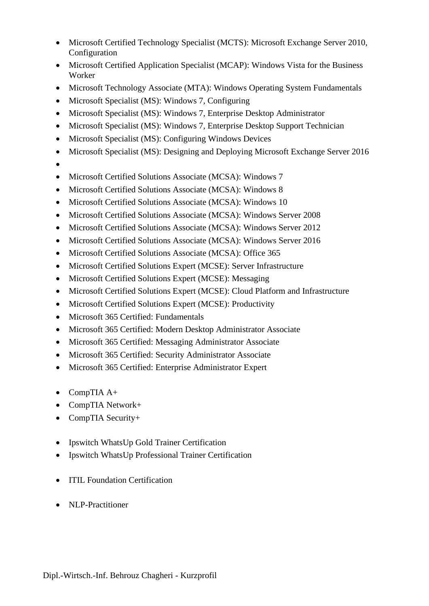- Microsoft Certified Technology Specialist (MCTS): Microsoft Exchange Server 2010, Configuration
- Microsoft Certified Application Specialist (MCAP): Windows Vista for the Business Worker
- Microsoft Technology Associate (MTA): Windows Operating System Fundamentals
- Microsoft Specialist (MS): Windows 7, Configuring
- Microsoft Specialist (MS): Windows 7, Enterprise Desktop Administrator
- Microsoft Specialist (MS): Windows 7, Enterprise Desktop Support Technician
- Microsoft Specialist (MS): Configuring Windows Devices
- Microsoft Specialist (MS): Designing and Deploying Microsoft Exchange Server 2016
- •
- Microsoft Certified Solutions Associate (MCSA): Windows 7
- Microsoft Certified Solutions Associate (MCSA): Windows 8
- Microsoft Certified Solutions Associate (MCSA): Windows 10
- Microsoft Certified Solutions Associate (MCSA): Windows Server 2008
- Microsoft Certified Solutions Associate (MCSA): Windows Server 2012
- Microsoft Certified Solutions Associate (MCSA): Windows Server 2016
- Microsoft Certified Solutions Associate (MCSA): Office 365
- Microsoft Certified Solutions Expert (MCSE): Server Infrastructure
- Microsoft Certified Solutions Expert (MCSE): Messaging
- Microsoft Certified Solutions Expert (MCSE): Cloud Platform and Infrastructure
- Microsoft Certified Solutions Expert (MCSE): Productivity
- Microsoft 365 Certified: Fundamentals
- Microsoft 365 Certified: Modern Desktop Administrator Associate
- Microsoft 365 Certified: Messaging Administrator Associate
- Microsoft 365 Certified: Security Administrator Associate
- Microsoft 365 Certified: Enterprise Administrator Expert
- CompTIA A+
- CompTIA Network+
- CompTIA Security+
- Ipswitch WhatsUp Gold Trainer Certification
- Ipswitch WhatsUp Professional Trainer Certification
- **ITIL Foundation Certification**
- NLP-Practitioner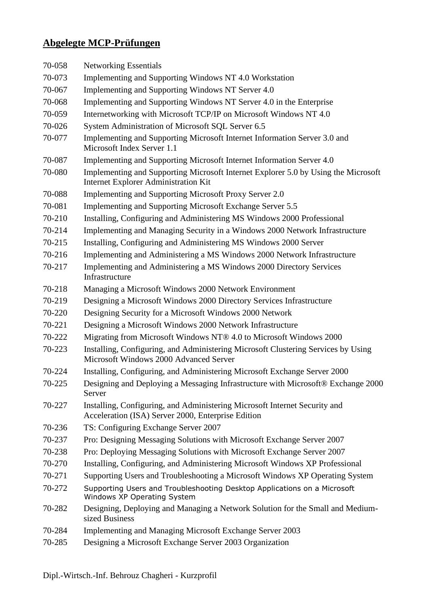# **Abgelegte MCP-Prüfungen**

| 70-058 | <b>Networking Essentials</b>                                                                                                     |
|--------|----------------------------------------------------------------------------------------------------------------------------------|
| 70-073 | Implementing and Supporting Windows NT 4.0 Workstation                                                                           |
| 70-067 | Implementing and Supporting Windows NT Server 4.0                                                                                |
| 70-068 | Implementing and Supporting Windows NT Server 4.0 in the Enterprise                                                              |
| 70-059 | Internetworking with Microsoft TCP/IP on Microsoft Windows NT 4.0                                                                |
| 70-026 | System Administration of Microsoft SQL Server 6.5                                                                                |
| 70-077 | Implementing and Supporting Microsoft Internet Information Server 3.0 and<br>Microsoft Index Server 1.1                          |
| 70-087 | Implementing and Supporting Microsoft Internet Information Server 4.0                                                            |
| 70-080 | Implementing and Supporting Microsoft Internet Explorer 5.0 by Using the Microsoft<br>Internet Explorer Administration Kit       |
| 70-088 | Implementing and Supporting Microsoft Proxy Server 2.0                                                                           |
| 70-081 | Implementing and Supporting Microsoft Exchange Server 5.5                                                                        |
| 70-210 | Installing, Configuring and Administering MS Windows 2000 Professional                                                           |
| 70-214 | Implementing and Managing Security in a Windows 2000 Network Infrastructure                                                      |
| 70-215 | Installing, Configuring and Administering MS Windows 2000 Server                                                                 |
| 70-216 | Implementing and Administering a MS Windows 2000 Network Infrastructure                                                          |
| 70-217 | Implementing and Administering a MS Windows 2000 Directory Services<br>Infrastructure                                            |
| 70-218 | Managing a Microsoft Windows 2000 Network Environment                                                                            |
| 70-219 | Designing a Microsoft Windows 2000 Directory Services Infrastructure                                                             |
| 70-220 | Designing Security for a Microsoft Windows 2000 Network                                                                          |
| 70-221 | Designing a Microsoft Windows 2000 Network Infrastructure                                                                        |
| 70-222 | Migrating from Microsoft Windows NT® 4.0 to Microsoft Windows 2000                                                               |
| 70-223 | Installing, Configuring, and Administering Microsoft Clustering Services by Using<br>Microsoft Windows 2000 Advanced Server      |
| 70-224 | Installing, Configuring, and Administering Microsoft Exchange Server 2000                                                        |
| 70-225 | Designing and Deploying a Messaging Infrastructure with Microsoft® Exchange 2000<br>Server                                       |
| 70-227 | Installing, Configuring, and Administering Microsoft Internet Security and<br>Acceleration (ISA) Server 2000, Enterprise Edition |
| 70-236 | TS: Configuring Exchange Server 2007                                                                                             |
| 70-237 | Pro: Designing Messaging Solutions with Microsoft Exchange Server 2007                                                           |
| 70-238 | Pro: Deploying Messaging Solutions with Microsoft Exchange Server 2007                                                           |
| 70-270 | Installing, Configuring, and Administering Microsoft Windows XP Professional                                                     |
| 70-271 | Supporting Users and Troubleshooting a Microsoft Windows XP Operating System                                                     |
| 70-272 | Supporting Users and Troubleshooting Desktop Applications on a Microsoft<br>Windows XP Operating System                          |
| 70-282 | Designing, Deploying and Managing a Network Solution for the Small and Medium-<br>sized Business                                 |
| 70-284 | Implementing and Managing Microsoft Exchange Server 2003                                                                         |
| 70-285 | Designing a Microsoft Exchange Server 2003 Organization                                                                          |
|        |                                                                                                                                  |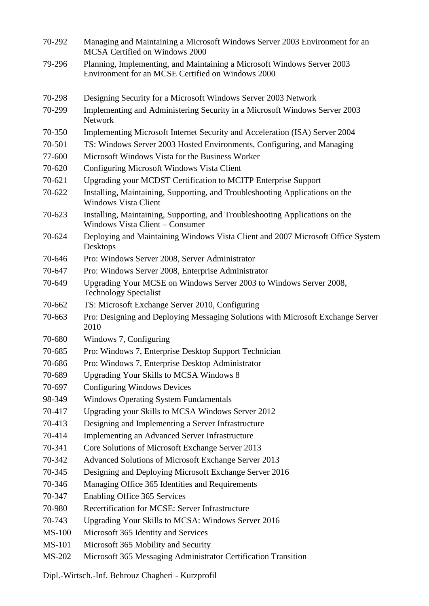| 70-292        | Managing and Maintaining a Microsoft Windows Server 2003 Environment for an<br>MCSA Certified on Windows 2000                |
|---------------|------------------------------------------------------------------------------------------------------------------------------|
| 79-296        | Planning, Implementing, and Maintaining a Microsoft Windows Server 2003<br>Environment for an MCSE Certified on Windows 2000 |
| 70-298        | Designing Security for a Microsoft Windows Server 2003 Network                                                               |
| 70-299        | Implementing and Administering Security in a Microsoft Windows Server 2003<br><b>Network</b>                                 |
| 70-350        | Implementing Microsoft Internet Security and Acceleration (ISA) Server 2004                                                  |
| 70-501        | TS: Windows Server 2003 Hosted Environments, Configuring, and Managing                                                       |
| 77-600        | Microsoft Windows Vista for the Business Worker                                                                              |
| 70-620        | Configuring Microsoft Windows Vista Client                                                                                   |
| 70-621        | Upgrading your MCDST Certification to MCITP Enterprise Support                                                               |
| 70-622        | Installing, Maintaining, Supporting, and Troubleshooting Applications on the<br><b>Windows Vista Client</b>                  |
| 70-623        | Installing, Maintaining, Supporting, and Troubleshooting Applications on the<br><b>Windows Vista Client - Consumer</b>       |
| 70-624        | Deploying and Maintaining Windows Vista Client and 2007 Microsoft Office System<br>Desktops                                  |
| 70-646        | Pro: Windows Server 2008, Server Administrator                                                                               |
| 70-647        | Pro: Windows Server 2008, Enterprise Administrator                                                                           |
| 70-649        | Upgrading Your MCSE on Windows Server 2003 to Windows Server 2008,<br><b>Technology Specialist</b>                           |
| 70-662        | TS: Microsoft Exchange Server 2010, Configuring                                                                              |
| 70-663        | Pro: Designing and Deploying Messaging Solutions with Microsoft Exchange Server<br>2010                                      |
| 70-680        | Windows 7, Configuring                                                                                                       |
| 70-685        | Pro: Windows 7, Enterprise Desktop Support Technician                                                                        |
| 70-686        | Pro: Windows 7, Enterprise Desktop Administrator                                                                             |
| 70-689        | <b>Upgrading Your Skills to MCSA Windows 8</b>                                                                               |
| 70-697        | <b>Configuring Windows Devices</b>                                                                                           |
| 98-349        | <b>Windows Operating System Fundamentals</b>                                                                                 |
| 70-417        | Upgrading your Skills to MCSA Windows Server 2012                                                                            |
| 70-413        | Designing and Implementing a Server Infrastructure                                                                           |
| 70-414        | Implementing an Advanced Server Infrastructure                                                                               |
| 70-341        | Core Solutions of Microsoft Exchange Server 2013                                                                             |
| 70-342        | Advanced Solutions of Microsoft Exchange Server 2013                                                                         |
| 70-345        | Designing and Deploying Microsoft Exchange Server 2016                                                                       |
| 70-346        | Managing Office 365 Identities and Requirements                                                                              |
| 70-347        | <b>Enabling Office 365 Services</b>                                                                                          |
| 70-980        | Recertification for MCSE: Server Infrastructure                                                                              |
| 70-743        | Upgrading Your Skills to MCSA: Windows Server 2016                                                                           |
| <b>MS-100</b> | Microsoft 365 Identity and Services                                                                                          |
| <b>MS-101</b> | Microsoft 365 Mobility and Security                                                                                          |
| MS-202        | Microsoft 365 Messaging Administrator Certification Transition                                                               |

Dipl.-Wirtsch.-Inf. Behrouz Chagheri - Kurzprofil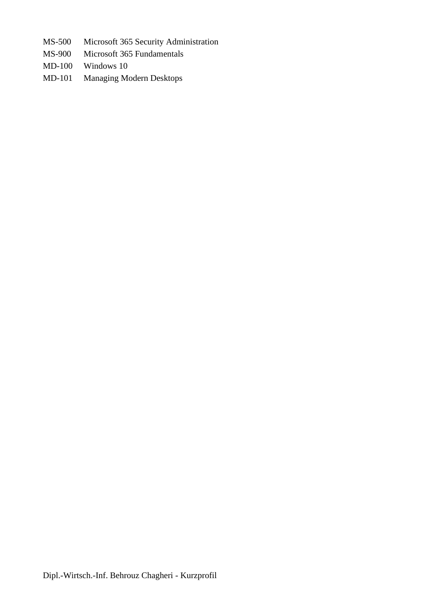- MS-500 Microsoft 365 Security Administration
- MS-900 Microsoft 365 Fundamentals
- MD-100 Windows 10
- MD-101 Managing Modern Desktops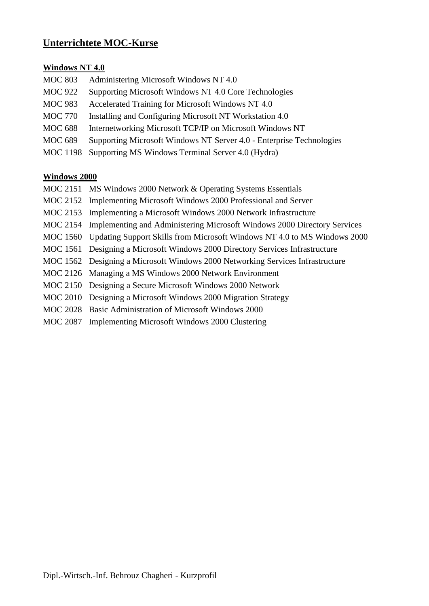# **Unterrichtete MOC-Kurse**

## **Windows NT 4.0**

| <b>MOC 803</b>  | Administering Microsoft Windows NT 4.0                               |
|-----------------|----------------------------------------------------------------------|
| <b>MOC 922</b>  | Supporting Microsoft Windows NT 4.0 Core Technologies                |
| <b>MOC 983</b>  | Accelerated Training for Microsoft Windows NT 4.0                    |
| <b>MOC 770</b>  | Installing and Configuring Microsoft NT Workstation 4.0              |
| <b>MOC 688</b>  | Internetworking Microsoft TCP/IP on Microsoft Windows NT             |
| <b>MOC 689</b>  | Supporting Microsoft Windows NT Server 4.0 - Enterprise Technologies |
| <b>MOC 1198</b> | Supporting MS Windows Terminal Server 4.0 (Hydra)                    |

#### **Windows 2000**

- MOC 2151 MS Windows 2000 Network & Operating Systems Essentials
- MOC 2152 Implementing Microsoft Windows 2000 Professional and Server
- MOC 2153 Implementing a Microsoft Windows 2000 Network Infrastructure
- MOC 2154 Implementing and Administering Microsoft Windows 2000 Directory Services
- MOC 1560 Updating Support Skills from Microsoft Windows NT 4.0 to MS Windows 2000
- MOC 1561 Designing a Microsoft Windows 2000 Directory Services Infrastructure
- MOC 1562 Designing a Microsoft Windows 2000 Networking Services Infrastructure
- MOC 2126 Managing a MS Windows 2000 Network Environment
- MOC 2150 Designing a Secure Microsoft Windows 2000 Network
- MOC 2010 Designing a Microsoft Windows 2000 Migration Strategy
- MOC 2028 Basic Administration of Microsoft Windows 2000
- MOC 2087 Implementing Microsoft Windows 2000 Clustering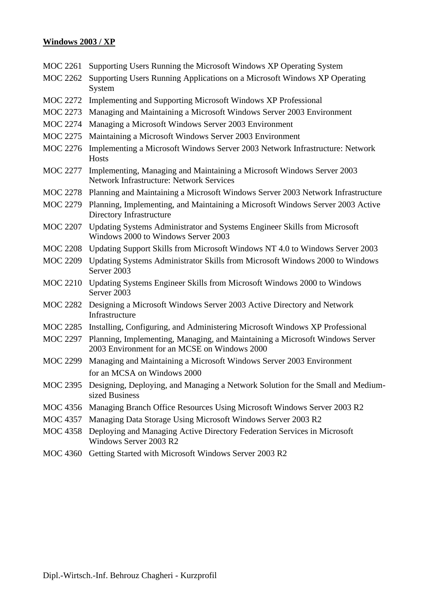# **Windows 2003 / XP**

| MOC 2261        | Supporting Users Running the Microsoft Windows XP Operating System                                                           |
|-----------------|------------------------------------------------------------------------------------------------------------------------------|
| <b>MOC 2262</b> | Supporting Users Running Applications on a Microsoft Windows XP Operating<br>System                                          |
| <b>MOC 2272</b> | Implementing and Supporting Microsoft Windows XP Professional                                                                |
| <b>MOC 2273</b> | Managing and Maintaining a Microsoft Windows Server 2003 Environment                                                         |
| <b>MOC 2274</b> | Managing a Microsoft Windows Server 2003 Environment                                                                         |
| <b>MOC 2275</b> | Maintaining a Microsoft Windows Server 2003 Environment                                                                      |
| <b>MOC 2276</b> | Implementing a Microsoft Windows Server 2003 Network Infrastructure: Network<br><b>Hosts</b>                                 |
| <b>MOC 2277</b> | Implementing, Managing and Maintaining a Microsoft Windows Server 2003<br><b>Network Infrastructure: Network Services</b>    |
| <b>MOC 2278</b> | Planning and Maintaining a Microsoft Windows Server 2003 Network Infrastructure                                              |
| <b>MOC 2279</b> | Planning, Implementing, and Maintaining a Microsoft Windows Server 2003 Active<br>Directory Infrastructure                   |
| <b>MOC 2207</b> | Updating Systems Administrator and Systems Engineer Skills from Microsoft<br>Windows 2000 to Windows Server 2003             |
| <b>MOC 2208</b> | Updating Support Skills from Microsoft Windows NT 4.0 to Windows Server 2003                                                 |
| <b>MOC 2209</b> | Updating Systems Administrator Skills from Microsoft Windows 2000 to Windows<br>Server 2003                                  |
| <b>MOC 2210</b> | Updating Systems Engineer Skills from Microsoft Windows 2000 to Windows<br>Server 2003                                       |
| MOC 2282        | Designing a Microsoft Windows Server 2003 Active Directory and Network<br>Infrastructure                                     |
| <b>MOC 2285</b> | Installing, Configuring, and Administering Microsoft Windows XP Professional                                                 |
| <b>MOC 2297</b> | Planning, Implementing, Managing, and Maintaining a Microsoft Windows Server<br>2003 Environment for an MCSE on Windows 2000 |
| <b>MOC 2299</b> | Managing and Maintaining a Microsoft Windows Server 2003 Environment<br>for an MCSA on Windows 2000                          |
|                 | MOC 2395 Designing, Deploying, and Managing a Network Solution for the Small and Medium-<br>sized Business                   |
|                 | MOC 4356 Managing Branch Office Resources Using Microsoft Windows Server 2003 R2                                             |
| <b>MOC 4357</b> | Managing Data Storage Using Microsoft Windows Server 2003 R2                                                                 |
|                 | MOC 4358 Deploying and Managing Active Directory Federation Services in Microsoft<br>Windows Server 2003 R2                  |
| <b>MOC 4360</b> | Getting Started with Microsoft Windows Server 2003 R2                                                                        |
|                 |                                                                                                                              |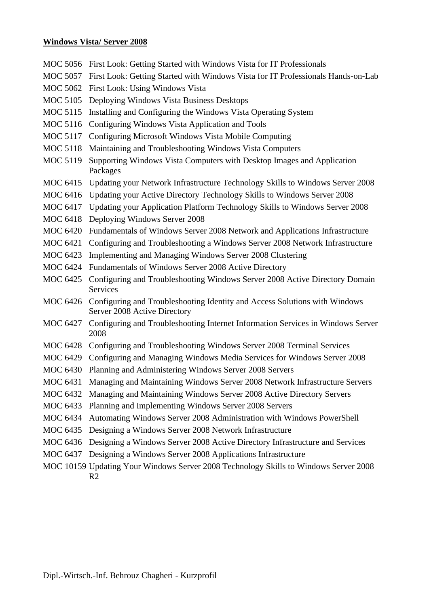#### **Windows Vista/ Server 2008**

- MOC 5056 First Look: Getting Started with Windows Vista for IT Professionals
- MOC 5057 First Look: Getting Started with Windows Vista for IT Professionals Hands-on-Lab
- MOC 5062 First Look: Using Windows Vista
- MOC 5105 Deploying Windows Vista Business Desktops
- MOC 5115 Installing and Configuring the Windows Vista Operating System
- MOC 5116 Configuring Windows Vista Application and Tools
- MOC 5117 Configuring Microsoft Windows Vista Mobile Computing
- MOC 5118 Maintaining and Troubleshooting Windows Vista Computers
- MOC 5119 Supporting Windows Vista Computers with Desktop Images and Application Packages
- MOC 6415 Updating your Network Infrastructure Technology Skills to Windows Server 2008
- MOC 6416 Updating your Active Directory Technology Skills to Windows Server 2008
- MOC 6417 Updating your Application Platform Technology Skills to Windows Server 2008
- MOC 6418 Deploying Windows Server 2008
- MOC 6420 Fundamentals of Windows Server 2008 Network and Applications Infrastructure
- MOC 6421 Configuring and Troubleshooting a Windows Server 2008 Network Infrastructure
- MOC 6423 Implementing and Managing Windows Server 2008 Clustering
- MOC 6424 Fundamentals of Windows Server 2008 Active Directory
- MOC 6425 Configuring and Troubleshooting Windows Server 2008 Active Directory Domain Services
- MOC 6426 Configuring and Troubleshooting Identity and Access Solutions with Windows Server 2008 Active Directory
- MOC 6427 Configuring and Troubleshooting Internet Information Services in Windows Server 2008
- MOC 6428 Configuring and Troubleshooting Windows Server 2008 Terminal Services
- MOC 6429 Configuring and Managing Windows Media Services for Windows Server 2008
- MOC 6430 Planning and Administering Windows Server 2008 Servers
- MOC 6431 Managing and Maintaining Windows Server 2008 Network Infrastructure Servers
- MOC 6432 Managing and Maintaining Windows Server 2008 Active Directory Servers
- MOC 6433 Planning and Implementing Windows Server 2008 Servers
- MOC 6434 Automating Windows Server 2008 Administration with Windows PowerShell
- MOC 6435 Designing a Windows Server 2008 Network Infrastructure
- MOC 6436 Designing a Windows Server 2008 Active Directory Infrastructure and Services
- MOC 6437 Designing a Windows Server 2008 Applications Infrastructure
- MOC 10159 Updating Your Windows Server 2008 Technology Skills to Windows Server 2008 R2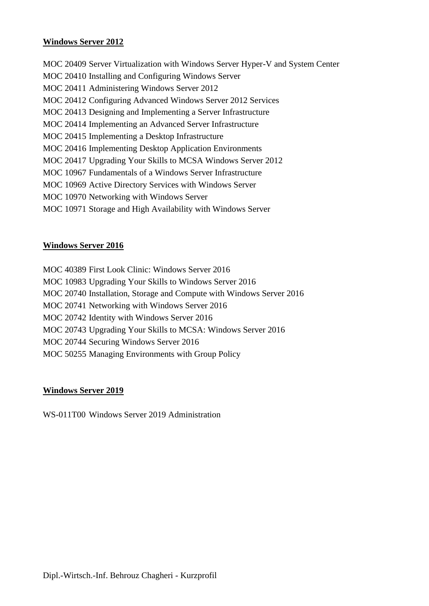## **Windows Server 2012**

MOC 20409 Server Virtualization with Windows Server Hyper-V and System Center MOC 20410 Installing and Configuring Windows Server MOC 20411 Administering Windows Server 2012 MOC 20412 Configuring Advanced Windows Server 2012 Services MOC 20413 Designing and Implementing a Server Infrastructure MOC 20414 Implementing an Advanced Server Infrastructure MOC 20415 Implementing a Desktop Infrastructure MOC 20416 Implementing Desktop Application Environments MOC 20417 Upgrading Your Skills to MCSA Windows Server 2012 MOC 10967 Fundamentals of a Windows Server Infrastructure MOC 10969 Active Directory Services with Windows Server MOC 10970 Networking with Windows Server MOC 10971 Storage and High Availability with Windows Server

## **Windows Server 2016**

MOC 40389 First Look Clinic: Windows Server 2016 MOC 10983 Upgrading Your Skills to Windows Server 2016 MOC 20740 Installation, Storage and Compute with Windows Server 2016 MOC 20741 Networking with Windows Server 2016 MOC 20742 Identity with Windows Server 2016 MOC 20743 Upgrading Your Skills to MCSA: Windows Server 2016 MOC 20744 Securing Windows Server 2016 MOC 50255 Managing Environments with Group Policy

# **Windows Server 2019**

WS-011T00 Windows Server 2019 Administration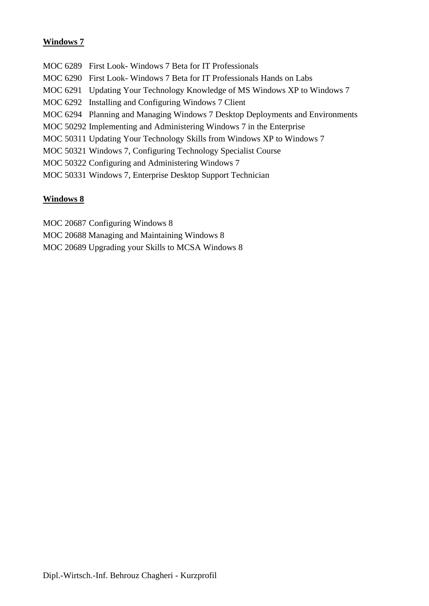# **Windows 7**

MOC 6289 First Look- Windows 7 Beta for IT Professionals MOC 6290 First Look- Windows 7 Beta for IT Professionals Hands on Labs MOC 6291 Updating Your Technology Knowledge of MS Windows XP to Windows 7 MOC 6292 Installing and Configuring Windows 7 Client MOC 6294 Planning and Managing Windows 7 Desktop Deployments and Environments MOC 50292 Implementing and Administering Windows 7 in the Enterprise MOC 50311 Updating Your Technology Skills from Windows XP to Windows 7 MOC 50321 Windows 7, Configuring Technology Specialist Course MOC 50322 Configuring and Administering Windows 7 MOC 50331 Windows 7, Enterprise Desktop Support Technician

# **Windows 8**

- MOC 20687 Configuring Windows 8
- MOC 20688 Managing and Maintaining Windows 8
- MOC 20689 Upgrading your Skills to MCSA Windows 8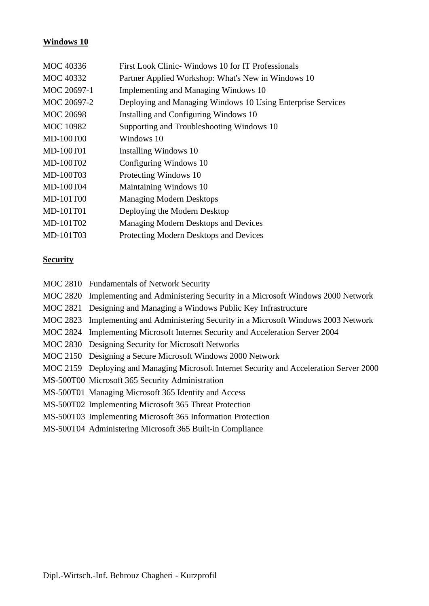# **Windows 10**

| MOC 40336        | First Look Clinic-Windows 10 for IT Professionals           |
|------------------|-------------------------------------------------------------|
| <b>MOC 40332</b> | Partner Applied Workshop: What's New in Windows 10          |
| MOC 20697-1      | Implementing and Managing Windows 10                        |
| MOC 20697-2      | Deploying and Managing Windows 10 Using Enterprise Services |
| <b>MOC 20698</b> | Installing and Configuring Windows 10                       |
| <b>MOC</b> 10982 | Supporting and Troubleshooting Windows 10                   |
| <b>MD-100T00</b> | Windows 10                                                  |
| <b>MD-100T01</b> | Installing Windows 10                                       |
| MD-100T02        | Configuring Windows 10                                      |
| MD-100T03        | Protecting Windows 10                                       |
| MD-100T04        | Maintaining Windows 10                                      |
| MD-101T00        | <b>Managing Modern Desktops</b>                             |
| MD-101T01        | Deploying the Modern Desktop                                |
| MD-101T02        | Managing Modern Desktops and Devices                        |
| MD-101T03        | Protecting Modern Desktops and Devices                      |

# **Security**

| MOC 2810 Fundamentals of Network Security                                                |
|------------------------------------------------------------------------------------------|
| MOC 2820 Implementing and Administering Security in a Microsoft Windows 2000 Network     |
| MOC 2821 Designing and Managing a Windows Public Key Infrastructure                      |
| MOC 2823 Implementing and Administering Security in a Microsoft Windows 2003 Network     |
| MOC 2824 Implementing Microsoft Internet Security and Acceleration Server 2004           |
| MOC 2830 Designing Security for Microsoft Networks                                       |
| MOC 2150 Designing a Secure Microsoft Windows 2000 Network                               |
| MOC 2159 Deploying and Managing Microsoft Internet Security and Acceleration Server 2000 |
| MS-500T00 Microsoft 365 Security Administration                                          |
| MS-500T01 Managing Microsoft 365 Identity and Access                                     |
| MS-500T02 Implementing Microsoft 365 Threat Protection                                   |
| MS-500T03 Implementing Microsoft 365 Information Protection                              |
| MS-500T04 Administering Microsoft 365 Built-in Compliance                                |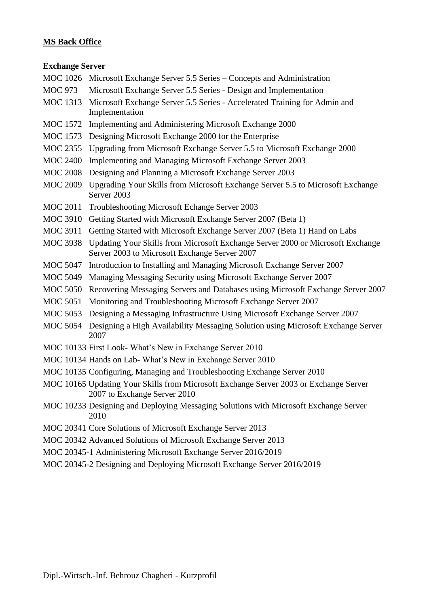## **MS Back Office**

#### **Exchange Server**

- MOC 1026 Microsoft Exchange Server 5.5 Series Concepts and Administration
- MOC 973 Microsoft Exchange Server 5.5 Series Design and Implementation
- MOC 1313 Microsoft Exchange Server 5.5 Series Accelerated Training for Admin and Implementation
- MOC 1572 Implementing and Administering Microsoft Exchange 2000
- MOC 1573 Designing Microsoft Exchange 2000 for the Enterprise
- MOC 2355 Upgrading from Microsoft Exchange Server 5.5 to Microsoft Exchange 2000
- MOC 2400 Implementing and Managing Microsoft Exchange Server 2003
- MOC 2008 Designing and Planning a Microsoft Exchange Server 2003
- MOC 2009 Upgrading Your Skills from Microsoft Exchange Server 5.5 to Microsoft Exchange Server 2003
- MOC 2011 Troubleshooting Microsoft Echange Server 2003
- MOC 3910 Getting Started with Microsoft Exchange Server 2007 (Beta 1)
- MOC 3911 Getting Started with Microsoft Exchange Server 2007 (Beta 1) Hand on Labs
- MOC 3938 Updating Your Skills from Microsoft Exchange Server 2000 or Microsoft Exchange Server 2003 to Microsoft Exchange Server 2007
- MOC 5047 Introduction to Installing and Managing Microsoft Exchange Server 2007
- MOC 5049 Managing Messaging Security using Microsoft Exchange Server 2007
- MOC 5050 Recovering Messaging Servers and Databases using Microsoft Exchange Server 2007
- MOC 5051 Monitoring and Troubleshooting Microsoft Exchange Server 2007
- MOC 5053 Designing a Messaging Infrastructure Using Microsoft Exchange Server 2007
- MOC 5054 Designing a High Availability Messaging Solution using Microsoft Exchange Server 2007
- MOC 10133 First Look- What's New in Exchange Server 2010
- MOC 10134 Hands on Lab- What's New in Exchange Server 2010
- MOC 10135 Configuring, Managing and Troubleshooting Exchange Server 2010
- MOC 10165 Updating Your Skills from Microsoft Exchange Server 2003 or Exchange Server 2007 to Exchange Server 2010
- MOC 10233 Designing and Deploying Messaging Solutions with Microsoft Exchange Server 2010
- MOC 20341 Core Solutions of Microsoft Exchange Server 2013
- MOC 20342 Advanced Solutions of Microsoft Exchange Server 2013
- MOC 20345-1 Administering Microsoft Exchange Server 2016/2019
- MOC 20345-2 Designing and Deploying Microsoft Exchange Server 2016/2019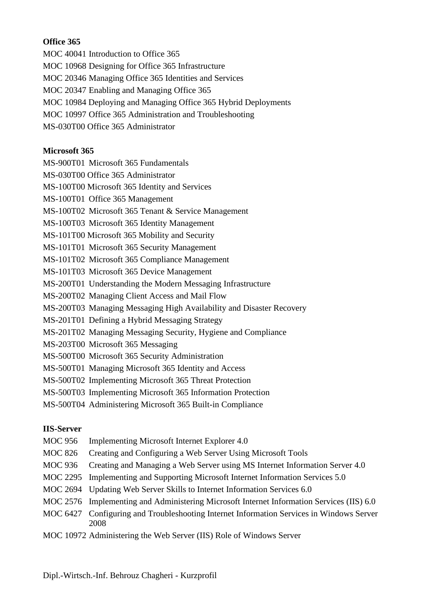# **Office 365**

- MOC 40041 Introduction to Office 365
- MOC 10968 Designing for Office 365 Infrastructure
- MOC 20346 Managing Office 365 Identities and Services
- MOC 20347 Enabling and Managing Office 365
- MOC 10984 Deploying and Managing Office 365 Hybrid Deployments
- MOC 10997 Office 365 Administration and Troubleshooting
- MS-030T00 Office 365 Administrator

# **Microsoft 365**

MS-900T01 Microsoft 365 Fundamentals

- MS-030T00 Office 365 Administrator
- MS-100T00 Microsoft 365 Identity and Services
- MS-100T01 Office 365 Management
- MS-100T02 Microsoft 365 Tenant & Service Management
- MS-100T03 Microsoft 365 Identity Management
- MS-101T00 Microsoft 365 Mobility and Security
- MS-101T01 Microsoft 365 Security Management
- MS-101T02 Microsoft 365 Compliance Management
- MS-101T03 Microsoft 365 Device Management
- MS-200T01 Understanding the Modern Messaging Infrastructure
- MS-200T02 Managing Client Access and Mail Flow
- MS-200T03 Managing Messaging High Availability and Disaster Recovery
- MS-201T01 Defining a Hybrid Messaging Strategy
- MS-201T02 Managing Messaging Security, Hygiene and Compliance
- MS-203T00 Microsoft 365 Messaging
- MS-500T00 Microsoft 365 Security Administration
- MS-500T01 Managing Microsoft 365 Identity and Access
- MS-500T02 Implementing Microsoft 365 Threat Protection
- MS-500T03 Implementing Microsoft 365 Information Protection
- MS-500T04 Administering Microsoft 365 Built-in Compliance

# **IIS-Server**

- MOC 956 Implementing Microsoft Internet Explorer 4.0
- MOC 826 Creating and Configuring a Web Server Using Microsoft Tools
- MOC 936 Creating and Managing a Web Server using MS Internet Information Server 4.0
- MOC 2295 Implementing and Supporting Microsoft Internet Information Services 5.0
- MOC 2694 Updating Web Server Skills to Internet Information Services 6.0
- MOC 2576 Implementing and Administering Microsoft Internet Information Services (IIS) 6.0
- MOC 6427 Configuring and Troubleshooting Internet Information Services in Windows Server 2008
- MOC 10972 Administering the Web Server (IIS) Role of Windows Server